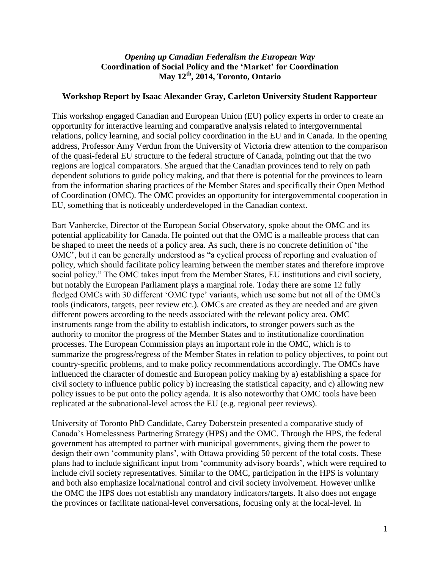## *Opening up Canadian Federalism the European Way* **Coordination of Social Policy and the 'Market' for Coordination May 12th, 2014, Toronto, Ontario**

## **Workshop Report by Isaac Alexander Gray, Carleton University Student Rapporteur**

This workshop engaged Canadian and European Union (EU) policy experts in order to create an opportunity for interactive learning and comparative analysis related to intergovernmental relations, policy learning, and social policy coordination in the EU and in Canada. In the opening address, Professor Amy Verdun from the University of Victoria drew attention to the comparison of the quasi-federal EU structure to the federal structure of Canada, pointing out that the two regions are logical comparators. She argued that the Canadian provinces tend to rely on path dependent solutions to guide policy making, and that there is potential for the provinces to learn from the information sharing practices of the Member States and specifically their Open Method of Coordination (OMC). The OMC provides an opportunity for intergovernmental cooperation in EU, something that is noticeably underdeveloped in the Canadian context.

Bart Vanhercke, Director of the European Social Observatory, spoke about the OMC and its potential applicability for Canada. He pointed out that the OMC is a malleable process that can be shaped to meet the needs of a policy area. As such, there is no concrete definition of 'the OMC', but it can be generally understood as "a cyclical process of reporting and evaluation of policy, which should facilitate policy learning between the member states and therefore improve social policy." The OMC takes input from the Member States, EU institutions and civil society, but notably the European Parliament plays a marginal role. Today there are some 12 fully fledged OMCs with 30 different 'OMC type' variants, which use some but not all of the OMCs tools (indicators, targets, peer review etc.). OMCs are created as they are needed and are given different powers according to the needs associated with the relevant policy area. OMC instruments range from the ability to establish indicators, to stronger powers such as the authority to monitor the progress of the Member States and to institutionalize coordination processes. The European Commission plays an important role in the OMC, which is to summarize the progress/regress of the Member States in relation to policy objectives, to point out country-specific problems, and to make policy recommendations accordingly. The OMCs have influenced the character of domestic and European policy making by a) establishing a space for civil society to influence public policy b) increasing the statistical capacity, and c) allowing new policy issues to be put onto the policy agenda. It is also noteworthy that OMC tools have been replicated at the subnational-level across the EU (e.g. regional peer reviews).

University of Toronto PhD Candidate, Carey Doberstein presented a comparative study of Canada's Homelessness Partnering Strategy (HPS) and the OMC. Through the HPS, the federal government has attempted to partner with municipal governments, giving them the power to design their own 'community plans', with Ottawa providing 50 percent of the total costs. These plans had to include significant input from 'community advisory boards', which were required to include civil society representatives. Similar to the OMC, participation in the HPS is voluntary and both also emphasize local/national control and civil society involvement. However unlike the OMC the HPS does not establish any mandatory indicators/targets. It also does not engage the provinces or facilitate national-level conversations, focusing only at the local-level. In